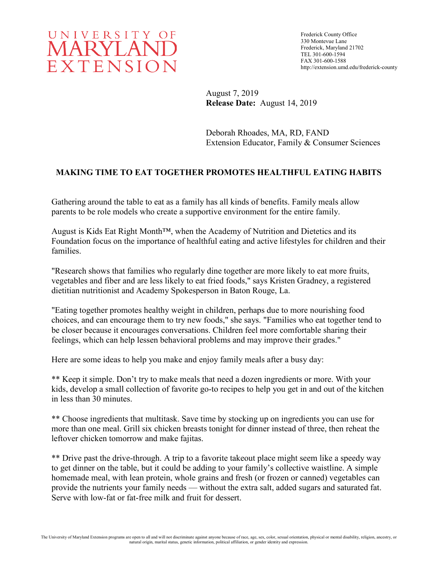

Frederick County Office 330 Montevue Lane Frederick, Maryland 21702 TEL 301-600-1594 FAX 301-600-1588 http://extension.umd.edu/frederick-county

August 7, 2019 **Release Date:** August 14, 2019

Deborah Rhoades, MA, RD, FAND Extension Educator, Family & Consumer Sciences

## **MAKING TIME TO EAT TOGETHER PROMOTES HEALTHFUL EATING HABITS**

Gathering around the table to eat as a family has all kinds of benefits. Family meals allow parents to be role models who create a supportive environment for the entire family.

August is Kids Eat Right Month™, when the Academy of Nutrition and Dietetics and its Foundation focus on the importance of healthful eating and active lifestyles for children and their families.

"Research shows that families who regularly dine together are more likely to eat more fruits, vegetables and fiber and are less likely to eat fried foods," says Kristen Gradney, a registered dietitian nutritionist and Academy Spokesperson in Baton Rouge, La.

"Eating together promotes healthy weight in children, perhaps due to more nourishing food choices, and can encourage them to try new foods," she says. "Families who eat together tend to be closer because it encourages conversations. Children feel more comfortable sharing their feelings, which can help lessen behavioral problems and may improve their grades."

Here are some ideas to help you make and enjoy family meals after a busy day:

\*\* Keep it simple. Don't try to make meals that need a dozen ingredients or more. With your kids, develop a small collection of favorite go-to recipes to help you get in and out of the kitchen in less than 30 minutes.

\*\* Choose ingredients that multitask. Save time by stocking up on ingredients you can use for more than one meal. Grill six chicken breasts tonight for dinner instead of three, then reheat the leftover chicken tomorrow and make fajitas.

\*\* Drive past the drive-through. A trip to a favorite takeout place might seem like a speedy way to get dinner on the table, but it could be adding to your family's collective waistline. A simple homemade meal, with lean protein, whole grains and fresh (or frozen or canned) vegetables can provide the nutrients your family needs — without the extra salt, added sugars and saturated fat. Serve with low-fat or fat-free milk and fruit for dessert.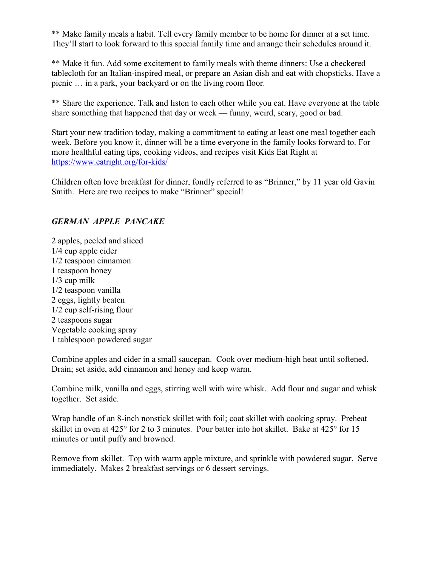\*\* Make family meals a habit. Tell every family member to be home for dinner at a set time. They'll start to look forward to this special family time and arrange their schedules around it.

\*\* Make it fun. Add some excitement to family meals with theme dinners: Use a checkered tablecloth for an Italian-inspired meal, or prepare an Asian dish and eat with chopsticks. Have a picnic … in a park, your backyard or on the living room floor.

\*\* Share the experience. Talk and listen to each other while you eat. Have everyone at the table share something that happened that day or week — funny, weird, scary, good or bad.

Start your new tradition today, making a commitment to eating at least one meal together each week. Before you know it, dinner will be a time everyone in the family looks forward to. For more healthful eating tips, cooking videos, and recipes visit Kids Eat Right at <https://www.eatright.org/for-kids/>

Children often love breakfast for dinner, fondly referred to as "Brinner," by 11 year old Gavin Smith. Here are two recipes to make "Brinner" special!

## *GERMAN APPLE PANCAKE*

2 apples, peeled and sliced 1/4 cup apple cider 1/2 teaspoon cinnamon 1 teaspoon honey 1/3 cup milk 1/2 teaspoon vanilla 2 eggs, lightly beaten 1/2 cup self-rising flour 2 teaspoons sugar Vegetable cooking spray 1 tablespoon powdered sugar

Combine apples and cider in a small saucepan. Cook over medium-high heat until softened. Drain; set aside, add cinnamon and honey and keep warm.

Combine milk, vanilla and eggs, stirring well with wire whisk. Add flour and sugar and whisk together. Set aside.

Wrap handle of an 8-inch nonstick skillet with foil; coat skillet with cooking spray. Preheat skillet in oven at 425° for 2 to 3 minutes. Pour batter into hot skillet. Bake at 425° for 15 minutes or until puffy and browned.

Remove from skillet. Top with warm apple mixture, and sprinkle with powdered sugar. Serve immediately. Makes 2 breakfast servings or 6 dessert servings.